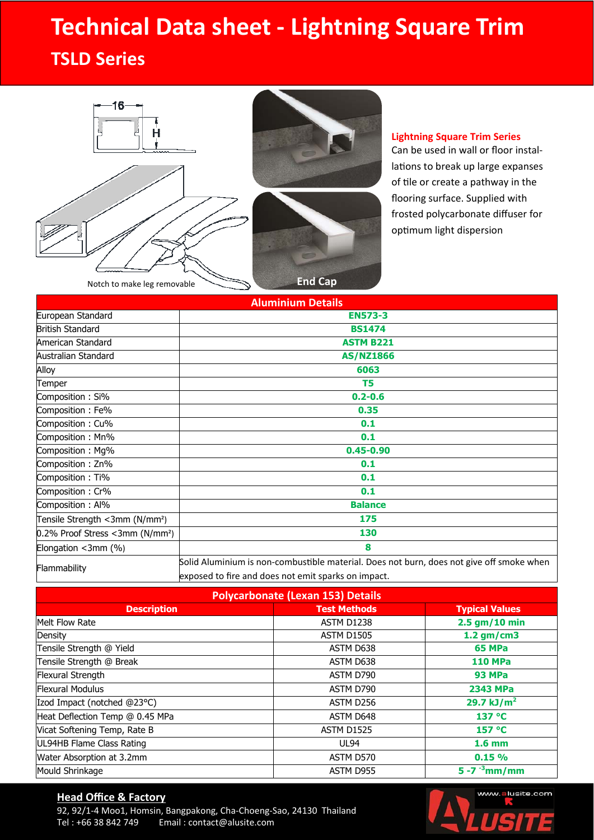# **Technical Data sheet ‐ Lightning Square Trim**

### **TSLD Series**





#### **Lightning Square Trim Series**

Can be used in wall or floor instal‐ lations to break up large expanses of tile or create a pathway in the flooring surface. Supplied with frosted polycarbonate diffuser for optimum light dispersion

| <b>Aluminium Details</b>                    |                                                                                          |  |  |
|---------------------------------------------|------------------------------------------------------------------------------------------|--|--|
| European Standard                           | <b>EN573-3</b>                                                                           |  |  |
| <b>British Standard</b>                     | <b>BS1474</b>                                                                            |  |  |
| American Standard                           | <b>ASTM B221</b>                                                                         |  |  |
| Australian Standard                         | <b>AS/NZ1866</b>                                                                         |  |  |
| Alloy                                       | 6063                                                                                     |  |  |
| Temper                                      | T5                                                                                       |  |  |
| Composition: Si%                            | $0.2 - 0.6$                                                                              |  |  |
| Composition: Fe%                            | 0.35                                                                                     |  |  |
| Composition: Cu%                            | 0.1                                                                                      |  |  |
| Composition: Mn%                            | 0.1                                                                                      |  |  |
| Composition: Mg%                            | $0.45 - 0.90$                                                                            |  |  |
| Composition: Zn%                            | 0.1                                                                                      |  |  |
| Composition: Ti%                            | 0.1                                                                                      |  |  |
| Composition: Cr%                            | 0.1                                                                                      |  |  |
| Composition: Al%                            | <b>Balance</b>                                                                           |  |  |
| Tensile Strength <3mm (N/mm <sup>2</sup> )  | 175                                                                                      |  |  |
| 0.2% Proof Stress <3mm (N/mm <sup>2</sup> ) | 130                                                                                      |  |  |
| Elongation <3mm (%)                         | 8                                                                                        |  |  |
| Flammability                                | Solid Aluminium is non-combustible material. Does not burn, does not give off smoke when |  |  |
|                                             | exposed to fire and does not emit sparks on impact.                                      |  |  |

| <b>Polycarbonate (Lexan 153) Details</b> |                     |                       |  |  |
|------------------------------------------|---------------------|-----------------------|--|--|
| <b>Description</b>                       | <b>Test Methods</b> | <b>Typical Values</b> |  |  |
| Melt Flow Rate                           | <b>ASTM D1238</b>   | $2.5$ gm/10 min       |  |  |
| Density                                  | <b>ASTM D1505</b>   | $1.2$ gm/cm3          |  |  |
| Tensile Strength @ Yield                 | ASTM D638           | <b>65 MPa</b>         |  |  |
| Tensile Strength @ Break                 | ASTM D638           | <b>110 MPa</b>        |  |  |
| Flexural Strength                        | ASTM D790           | <b>93 MPa</b>         |  |  |
| <b>Flexural Modulus</b>                  | ASTM D790           | 2343 MPa              |  |  |
| Izod Impact (notched @23°C)              | ASTM D256           | 29.7 kJ/ $m^2$        |  |  |
| Heat Deflection Temp @ 0.45 MPa          | ASTM D648           | 137 °C                |  |  |
| Vicat Softening Temp, Rate B             | <b>ASTM D1525</b>   | 157 °C                |  |  |
| UL94HB Flame Class Rating                | UL94                | 1.6 <sub>mm</sub>     |  |  |
| Water Absorption at 3.2mm                | ASTM D570           | 0.15%                 |  |  |
| Mould Shrinkage                          | ASTM D955           | 5 - 7 $^{-3}$ mm/mm   |  |  |

#### **Head Office & Factory**

92, 92/1-4 Moo1, Homsin, Bangpakong, Cha-Choeng-Sao, 24130 Thailand<br>Tel: +66 38 842 749 Email: contact@alusite.com Email: contact@alusite.com